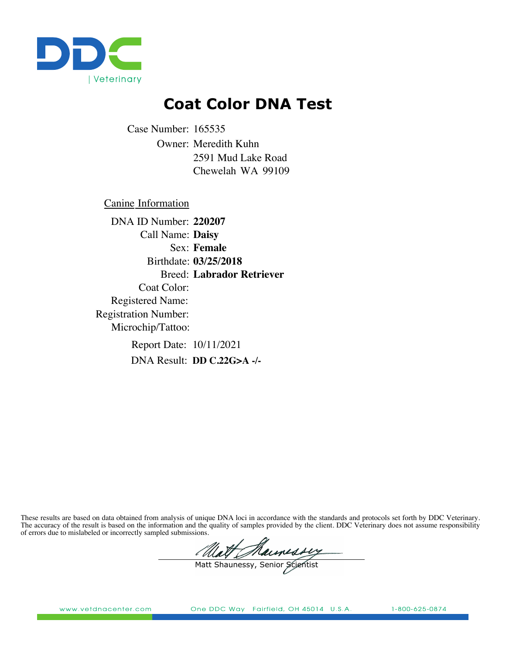

## **Coat Color DNA Test**

Owner: Meredith Kuhn 2591 Mud Lake Road Case Number: 165535 Chewelah WA 99109

Canine Information

**Female** Sex: **03/25/2018** Birthdate: Call Name: **Daisy** Coat Color: Registration Number: Report Date: 10/11/2021 Registered Name: Microchip/Tattoo: DNA ID Number: **220207** Breed: **Labrador Retriever**

**DD C.22G>A -/-** DNA Result:

These results are based on data obtained from analysis of unique DNA loci in accordance with the standards and protocols set forth by DDC Veterinary. The accuracy of the result is based on the information and the quality of samples provided by the client. DDC Veterinary does not assume responsibility of errors due to mislabeled or incorrectly sampled submissions.

Math Maunessy

www.vetdnacenter.com

One DDC Way Fairfield, OH 45014 U.S.A.